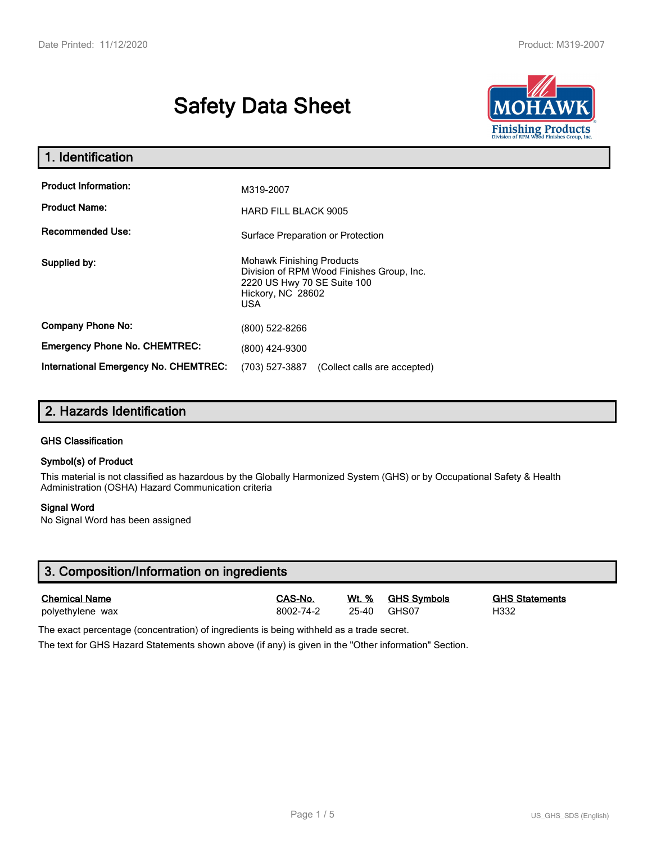# Safety Data Sheet



| 1. Identification                                   |                                                                                                                                                 |  |  |  |
|-----------------------------------------------------|-------------------------------------------------------------------------------------------------------------------------------------------------|--|--|--|
| <b>Product Information:</b><br><b>Product Name:</b> | M319-2007<br><b>HARD FILL BLACK 9005</b>                                                                                                        |  |  |  |
| <b>Recommended Use:</b>                             | Surface Preparation or Protection                                                                                                               |  |  |  |
| Supplied by:                                        | <b>Mohawk Finishing Products</b><br>Division of RPM Wood Finishes Group, Inc.<br>2220 US Hwy 70 SE Suite 100<br>Hickory, NC 28602<br><b>USA</b> |  |  |  |
| <b>Company Phone No:</b>                            | (800) 522-8266                                                                                                                                  |  |  |  |
| <b>Emergency Phone No. CHEMTREC:</b>                | (800) 424-9300                                                                                                                                  |  |  |  |
| <b>International Emergency No. CHEMTREC:</b>        | (703) 527-3887<br>(Collect calls are accepted)                                                                                                  |  |  |  |

# 2. Hazards Identification

#### GHS Classification

#### Symbol(s) of Product

This material is not classified as hazardous by the Globally Harmonized System (GHS) or by Occupational Safety & Health Administration (OSHA) Hazard Communication criteria

#### Signal Word

No Signal Word has been assigned

| 3. Composition/Information on ingredients |           |       |                    |                       |  |
|-------------------------------------------|-----------|-------|--------------------|-----------------------|--|
| <b>Chemical Name</b>                      | CAS-No.   | Wt. % | <b>GHS Symbols</b> | <b>GHS Statements</b> |  |
| polyethylene wax                          | 8002-74-2 | 25-40 | GHS07              | H332                  |  |

The exact percentage (concentration) of ingredients is being withheld as a trade secret.

The text for GHS Hazard Statements shown above (if any) is given in the "Other information" Section.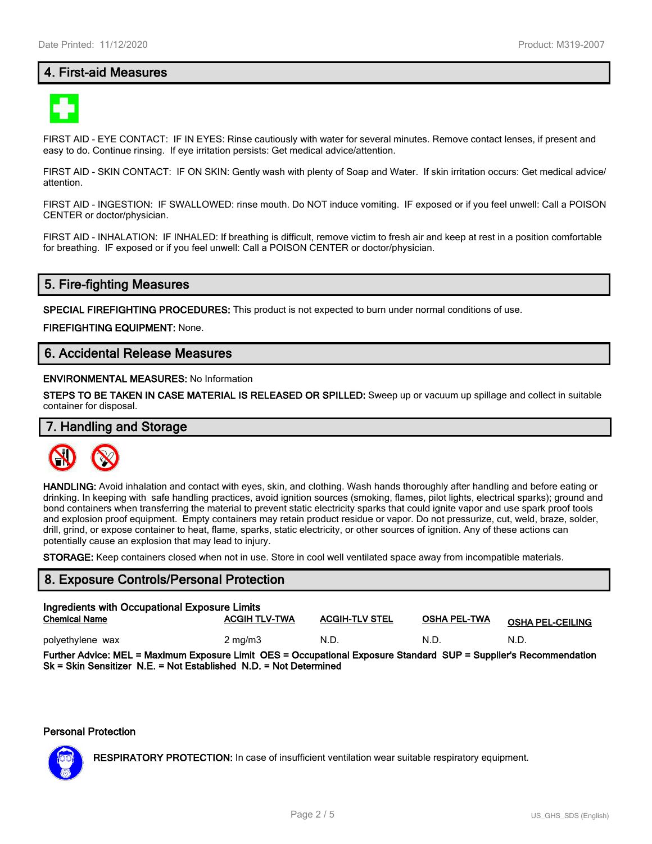# 4. First-aid Measures



FIRST AID - EYE CONTACT: IF IN EYES: Rinse cautiously with water for several minutes. Remove contact lenses, if present and easy to do. Continue rinsing. If eye irritation persists: Get medical advice/attention.

FIRST AID - SKIN CONTACT: IF ON SKIN: Gently wash with plenty of Soap and Water. If skin irritation occurs: Get medical advice/ attention.

FIRST AID - INGESTION: IF SWALLOWED: rinse mouth. Do NOT induce vomiting. IF exposed or if you feel unwell: Call a POISON CENTER or doctor/physician.

FIRST AID - INHALATION: IF INHALED: If breathing is difficult, remove victim to fresh air and keep at rest in a position comfortable for breathing. IF exposed or if you feel unwell: Call a POISON CENTER or doctor/physician.

# 5. Fire-fighting Measures

SPECIAL FIREFIGHTING PROCEDURES: This product is not expected to burn under normal conditions of use.

FIREFIGHTING EQUIPMENT: None.

# 6. Accidental Release Measures

#### ENVIRONMENTAL MEASURES: No Information

STEPS TO BE TAKEN IN CASE MATERIAL IS RELEASED OR SPILLED: Sweep up or vacuum up spillage and collect in suitable container for disposal.

# 7. Handling and Storage



HANDLING: Avoid inhalation and contact with eyes, skin, and clothing. Wash hands thoroughly after handling and before eating or drinking. In keeping with safe handling practices, avoid ignition sources (smoking, flames, pilot lights, electrical sparks); ground and bond containers when transferring the material to prevent static electricity sparks that could ignite vapor and use spark proof tools and explosion proof equipment. Empty containers may retain product residue or vapor. Do not pressurize, cut, weld, braze, solder, drill, grind, or expose container to heat, flame, sparks, static electricity, or other sources of ignition. Any of these actions can potentially cause an explosion that may lead to injury.

STORAGE: Keep containers closed when not in use. Store in cool well ventilated space away from incompatible materials.

### 8. Exposure Controls/Personal Protection

| Ingredients with Occupational Exposure Limits<br><b>Chemical Name</b>                                             | <b>ACGIH TLV-TWA</b> | <b>ACGIH-TLV STEL</b> | OSHA PEL-TWA | <b>OSHA PEL-CEILING</b> |
|-------------------------------------------------------------------------------------------------------------------|----------------------|-----------------------|--------------|-------------------------|
| polyethylene wax                                                                                                  | $2 \text{ mg/m}$     | N.D.                  | N.D.         | N.D.                    |
| Further Advice: MEL = Maximum Exposure Limit OES = Occupational Exposure Standard SUP = Supplier's Recommendation |                      |                       |              |                         |

Sk = Skin Sensitizer N.E. = Not Established N.D. = Not Determined

#### Personal Protection



RESPIRATORY PROTECTION: In case of insufficient ventilation wear suitable respiratory equipment.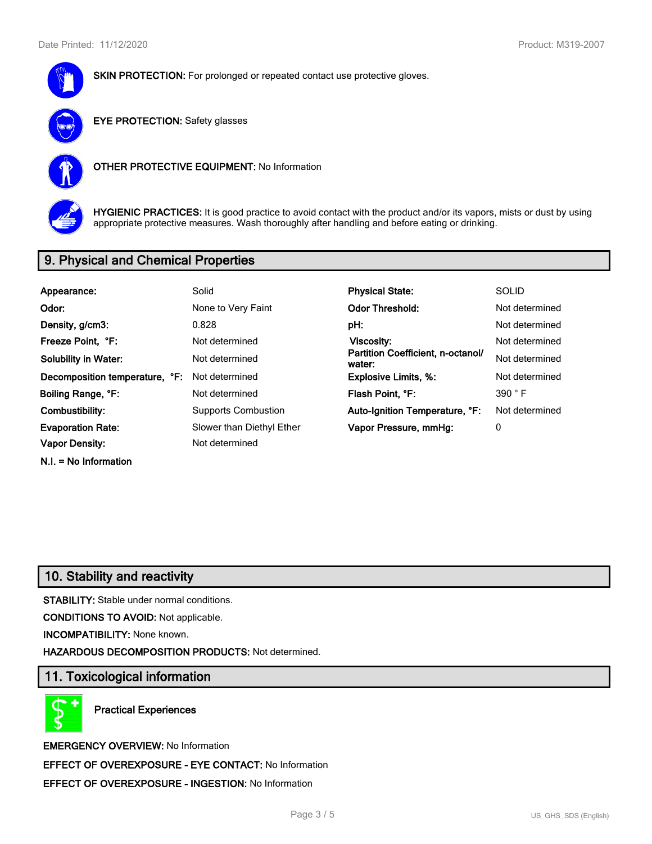



EYE PROTECTION: Safety glasses



OTHER PROTECTIVE EQUIPMENT: No Information



HYGIENIC PRACTICES: It is good practice to avoid contact with the product and/or its vapors, mists or dust by using appropriate protective measures. Wash thoroughly after handling and before eating or drinking.

# 9. Physical and Chemical Properties

| Appearance:                    | Solid                      | <b>Physical State:</b>                      | <b>SOLID</b>   |
|--------------------------------|----------------------------|---------------------------------------------|----------------|
| Odor:                          | None to Very Faint         | <b>Odor Threshold:</b>                      | Not determined |
| Density, g/cm3:                | 0.828                      | pH:                                         | Not determined |
| Freeze Point, °F:              | Not determined             | <b>Viscosity:</b>                           | Not determined |
| <b>Solubility in Water:</b>    | Not determined             | Partition Coefficient, n-octanol/<br>water: | Not determined |
| Decomposition temperature, °F: | Not determined             | <b>Explosive Limits, %:</b>                 | Not determined |
| Boiling Range, °F:             | Not determined             | Flash Point, °F:                            | 390 °F         |
| Combustibility:                | <b>Supports Combustion</b> | Auto-Ignition Temperature, °F:              | Not determined |
| <b>Evaporation Rate:</b>       | Slower than Diethyl Ether  | Vapor Pressure, mmHg:                       | 0              |
| <b>Vapor Density:</b>          | Not determined             |                                             |                |
| $N.I. = No$ Information        |                            |                                             |                |

# 10. Stability and reactivity

STABILITY: Stable under normal conditions.

CONDITIONS TO AVOID: Not applicable.

INCOMPATIBILITY: None known.

場 đ

HAZARDOUS DECOMPOSITION PRODUCTS: Not determined.

# 11. Toxicological information

Practical Experiences

EMERGENCY OVERVIEW: No Information EFFECT OF OVEREXPOSURE - EYE CONTACT: No Information EFFECT OF OVEREXPOSURE - INGESTION: No Information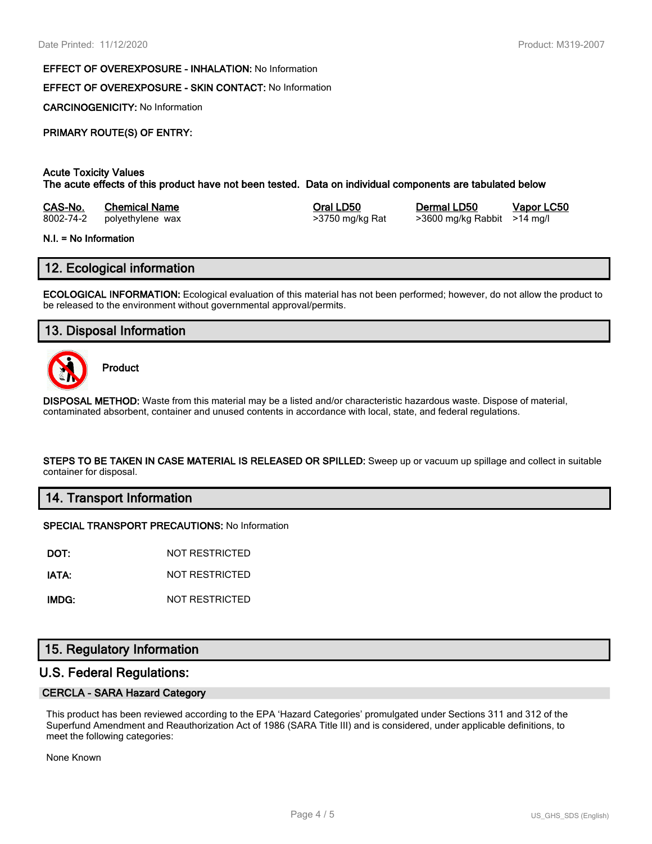#### EFFECT OF OVEREXPOSURE - INHALATION: No Information

## EFFECT OF OVEREXPOSURE - SKIN CONTACT: No Information

CARCINOGENICITY: No Information

# PRIMARY ROUTE(S) OF ENTRY:

## Acute Toxicity Values

The acute effects of this product have not been tested. Data on individual components are tabulated below

| CAS-No.   | <b>Chemical Name</b> |  |  |  |
|-----------|----------------------|--|--|--|
| 8002-74-2 | polvethylene wax     |  |  |  |

8002-74-2 polyethylene wax >3750 mg/kg Rat >3600 mg/kg Rabbit >14 mg/l

Oral LD50 Dermal LD50 Vapor LC50

#### N.I. = No Information

# 12. Ecological information

ECOLOGICAL INFORMATION: Ecological evaluation of this material has not been performed; however, do not allow the product to be released to the environment without governmental approval/permits.

# 13. Disposal Information



Product

DISPOSAL METHOD: Waste from this material may be a listed and/or characteristic hazardous waste. Dispose of material, contaminated absorbent, container and unused contents in accordance with local, state, and federal regulations.

STEPS TO BE TAKEN IN CASE MATERIAL IS RELEASED OR SPILLED: Sweep up or vacuum up spillage and collect in suitable container for disposal.

### 14. Transport Information

#### SPECIAL TRANSPORT PRECAUTIONS: No Information

DOT: NOT RESTRICTED

IATA: NOT RESTRICTED

IMDG: NOT RESTRICTED

# 15. Regulatory Information

## U.S. Federal Regulations:

#### CERCLA - SARA Hazard Category

This product has been reviewed according to the EPA 'Hazard Categories' promulgated under Sections 311 and 312 of the Superfund Amendment and Reauthorization Act of 1986 (SARA Title III) and is considered, under applicable definitions, to meet the following categories:

None Known